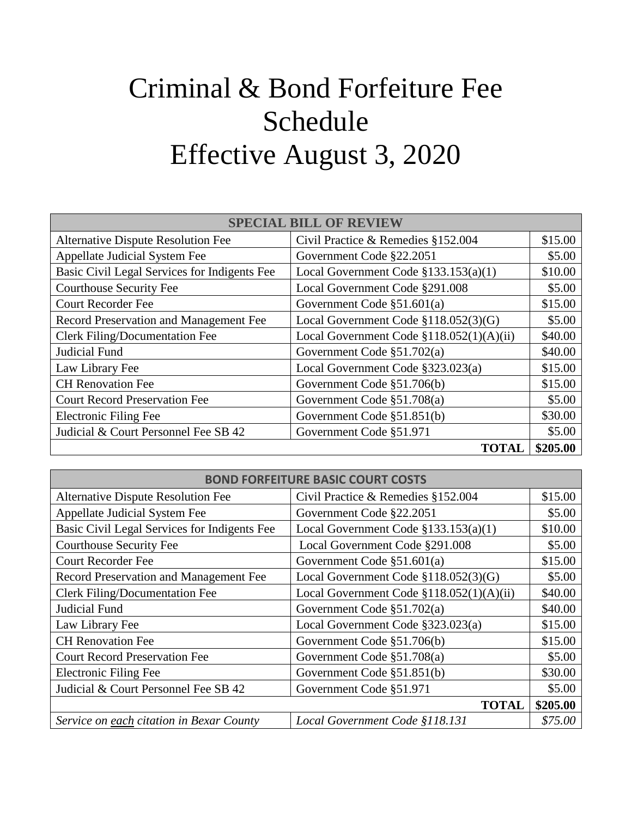## Criminal & Bond Forfeiture Fee Schedule Effective August 3, 2020

| <b>SPECIAL BILL OF REVIEW</b>                |                                          |          |  |
|----------------------------------------------|------------------------------------------|----------|--|
| <b>Alternative Dispute Resolution Fee</b>    | Civil Practice & Remedies §152.004       | \$15.00  |  |
| Appellate Judicial System Fee                | Government Code §22.2051                 | \$5.00   |  |
| Basic Civil Legal Services for Indigents Fee | Local Government Code $$133.153(a)(1)$   | \$10.00  |  |
| <b>Courthouse Security Fee</b>               | Local Government Code §291.008           | \$5.00   |  |
| <b>Court Recorder Fee</b>                    | Government Code $\S51.601(a)$            | \$15.00  |  |
| Record Preservation and Management Fee       | Local Government Code §118.052(3)(G)     | \$5.00   |  |
| Clerk Filing/Documentation Fee               | Local Government Code §118.052(1)(A)(ii) | \$40.00  |  |
| Judicial Fund                                | Government Code §51.702(a)               | \$40.00  |  |
| Law Library Fee                              | Local Government Code §323.023(a)        | \$15.00  |  |
| <b>CH</b> Renovation Fee                     | Government Code §51.706(b)               | \$15.00  |  |
| <b>Court Record Preservation Fee</b>         | Government Code §51.708(a)               | \$5.00   |  |
| Electronic Filing Fee                        | Government Code §51.851(b)               | \$30.00  |  |
| Judicial & Court Personnel Fee SB 42         | Government Code §51.971                  | \$5.00   |  |
|                                              | <b>TOTAL</b>                             | \$205.00 |  |

| <b>BOND FORFEITURE BASIC COURT COSTS</b>     |                                            |          |
|----------------------------------------------|--------------------------------------------|----------|
| <b>Alternative Dispute Resolution Fee</b>    | Civil Practice & Remedies §152.004         | \$15.00  |
| Appellate Judicial System Fee                | Government Code §22.2051                   | \$5.00   |
| Basic Civil Legal Services for Indigents Fee | Local Government Code $$133.153(a)(1)$     | \$10.00  |
| <b>Courthouse Security Fee</b>               | Local Government Code §291.008             | \$5.00   |
| <b>Court Recorder Fee</b>                    | Government Code $\S51.601(a)$              | \$15.00  |
| Record Preservation and Management Fee       | Local Government Code §118.052(3)(G)       | \$5.00   |
| <b>Clerk Filing/Documentation Fee</b>        | Local Government Code $$118.052(1)(A)(ii)$ | \$40.00  |
| Judicial Fund                                | Government Code §51.702(a)                 | \$40.00  |
| Law Library Fee                              | Local Government Code §323.023(a)          | \$15.00  |
| <b>CH</b> Renovation Fee                     | Government Code §51.706(b)                 | \$15.00  |
| <b>Court Record Preservation Fee</b>         | Government Code §51.708(a)                 | \$5.00   |
| <b>Electronic Filing Fee</b>                 | Government Code §51.851(b)                 | \$30.00  |
| Judicial & Court Personnel Fee SB 42         | Government Code §51.971                    | \$5.00   |
|                                              | <b>TOTAL</b>                               | \$205.00 |
| Service on each citation in Bexar County     | Local Government Code §118.131             | \$75.00  |